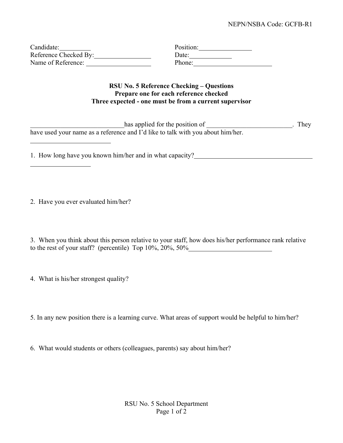| Candidate:            | Position: |
|-----------------------|-----------|
| Reference Checked By: | Date:     |
| Name of Reference:    | Phone:    |

## **RSU No. 5 Reference Checking – Questions Prepare one for each reference checked Three expected - one must be from a current supervisor**

has applied for the position of \_\_\_\_\_\_\_\_\_\_\_\_\_\_\_\_\_\_\_\_\_\_\_\_\_\_\_\_\_\_\_. They have used your name as a reference and I'd like to talk with you about him/her.

1. How long have you known him/her and in what capacity?

2. Have you ever evaluated him/her?

3. When you think about this person relative to your staff, how does his/her performance rank relative to the rest of your staff? (percentile) Top 10%, 20%, 50%

4. What is his/her strongest quality?

5. In any new position there is a learning curve. What areas of support would be helpful to him/her?

6. What would students or others (colleagues, parents) say about him/her?

RSU No. 5 School Department Page 1 of 2